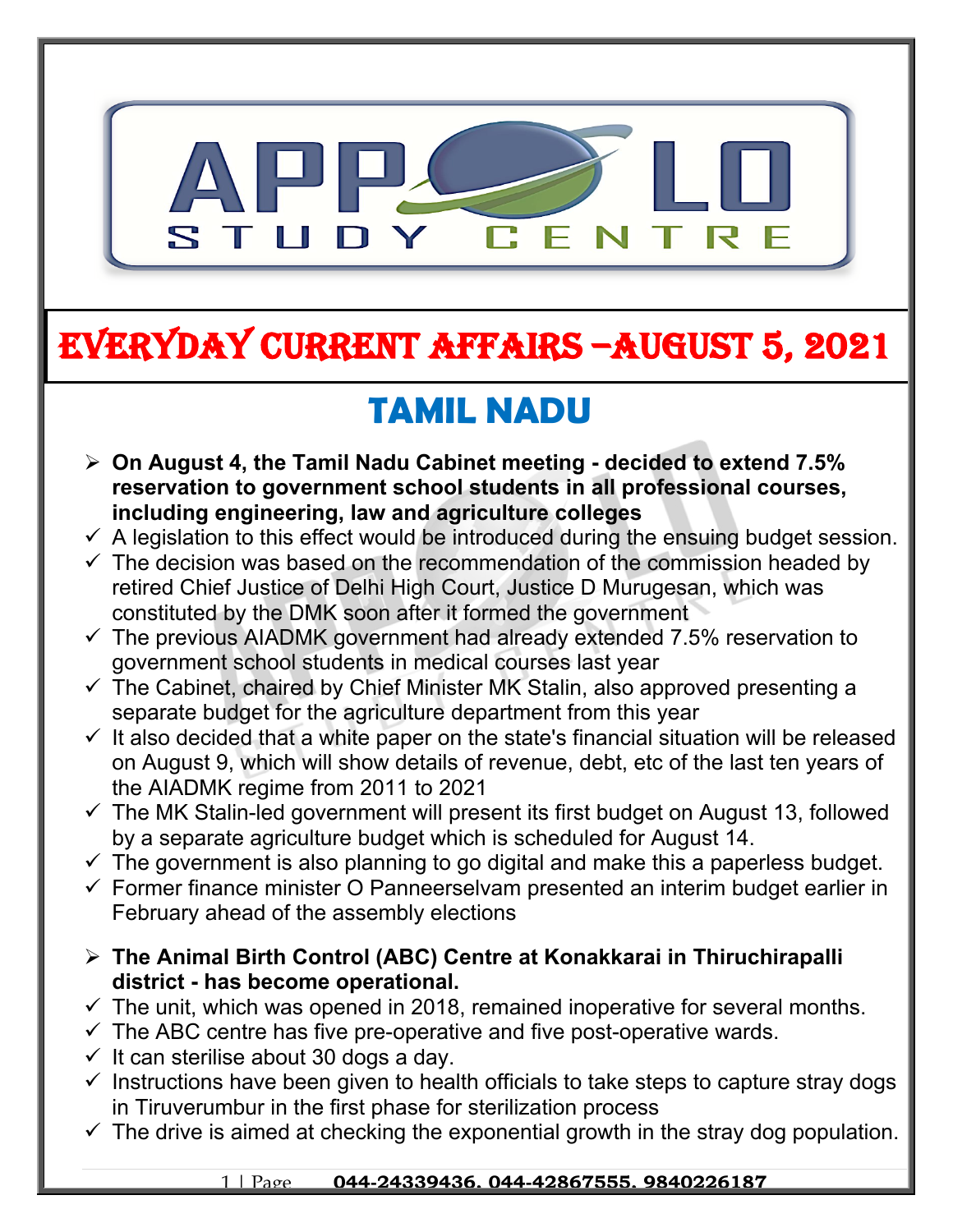

# **EVERYDAY CURRENT AFFAIRS –AUGUST 5, 2021**

## **TAMIL NADU**

- **On August 4, the Tamil Nadu Cabinet meeting decided to extend 7.5% reservation to government school students in all professional courses, including engineering, law and agriculture colleges**
- $\checkmark$  A legislation to this effect would be introduced during the ensuing budget session.
- $\checkmark$  The decision was based on the recommendation of the commission headed by retired Chief Justice of Delhi High Court, Justice D Murugesan, which was constituted by the DMK soon after it formed the government
- $\checkmark$  The previous AIADMK government had already extended 7.5% reservation to government school students in medical courses last year
- $\checkmark$  The Cabinet, chaired by Chief Minister MK Stalin, also approved presenting a separate budget for the agriculture department from this year
- $\checkmark$  It also decided that a white paper on the state's financial situation will be released on August 9, which will show details of revenue, debt, etc of the last ten years of the AIADMK regime from 2011 to 2021
- $\checkmark$  The MK Stalin-led government will present its first budget on August 13, followed by a separate agriculture budget which is scheduled for August 14.
- $\checkmark$  The government is also planning to go digital and make this a paperless budget.
- $\checkmark$  Former finance minister O Panneerselvam presented an interim budget earlier in February ahead of the assembly elections
- **The Animal Birth Control (ABC) Centre at Konakkarai in Thiruchirapalli district - has become operational.**
- $\checkmark$  The unit, which was opened in 2018, remained inoperative for several months.
- $\checkmark$  The ABC centre has five pre-operative and five post-operative wards.
- $\checkmark$  It can sterilise about 30 dogs a day.

**-**

- $\checkmark$  Instructions have been given to health officials to take steps to capture stray dogs in Tiruverumbur in the first phase for sterilization process
- $\checkmark$  The drive is aimed at checking the exponential growth in the stray dog population.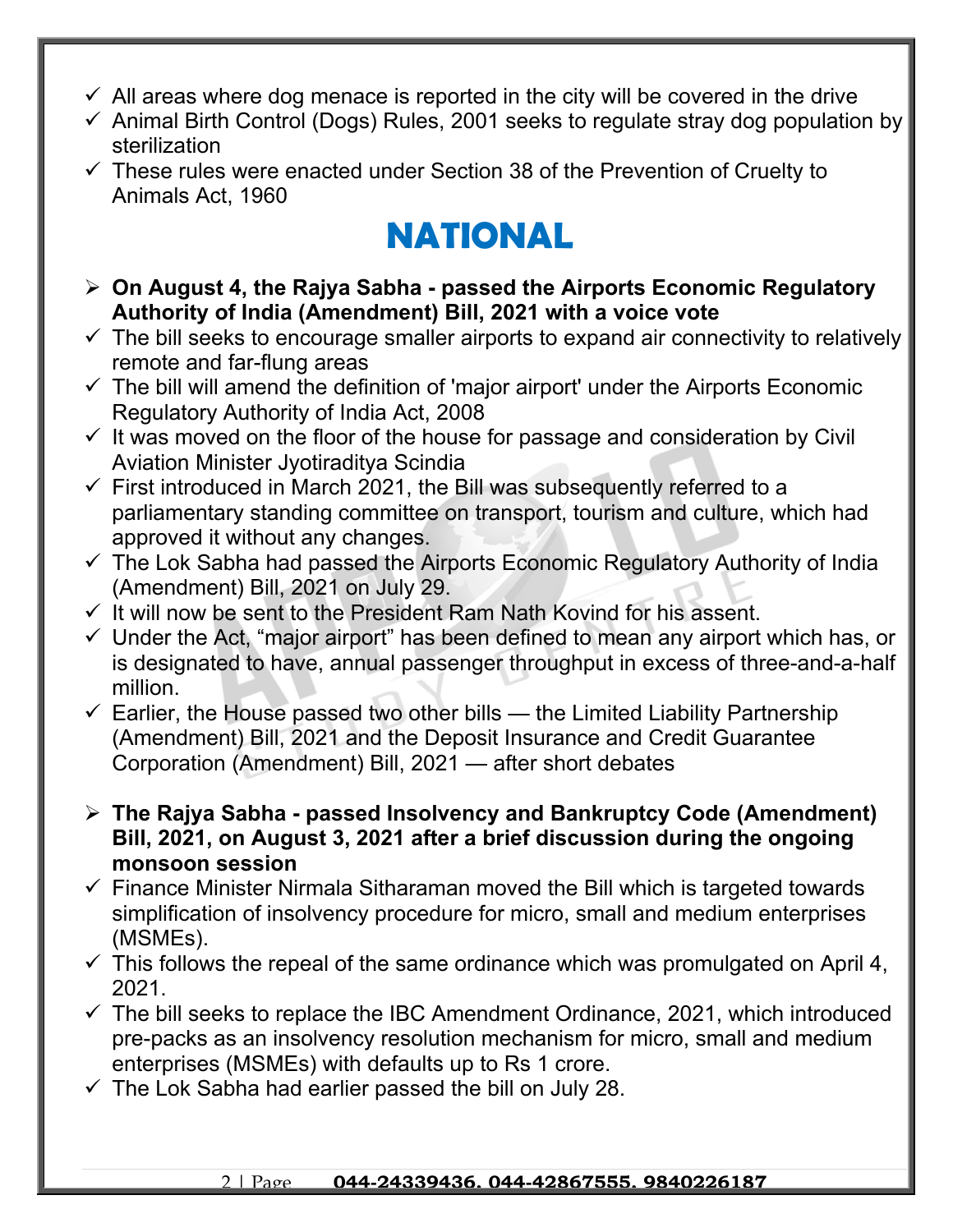- $\checkmark$  All areas where dog menace is reported in the city will be covered in the drive
- $\checkmark$  Animal Birth Control (Dogs) Rules, 2001 seeks to regulate stray dog population by sterilization
- $\checkmark$  These rules were enacted under Section 38 of the Prevention of Cruelty to Animals Act, 1960

## **NATIONAL**

- **On August 4, the Rajya Sabha passed the Airports Economic Regulatory Authority of India (Amendment) Bill, 2021 with a voice vote**
- $\checkmark$  The bill seeks to encourage smaller airports to expand air connectivity to relatively remote and far-flung areas
- $\checkmark$  The bill will amend the definition of 'major airport' under the Airports Economic Regulatory Authority of India Act, 2008
- $\checkmark$  It was moved on the floor of the house for passage and consideration by Civil Aviation Minister Jyotiraditya Scindia
- $\checkmark$  First introduced in March 2021, the Bill was subsequently referred to a parliamentary standing committee on transport, tourism and culture, which had approved it without any changes.
- $\checkmark$  The Lok Sabha had passed the Airports Economic Regulatory Authority of India (Amendment) Bill, 2021 on July 29.
- $\checkmark$  It will now be sent to the President Ram Nath Kovind for his assent.
- $\checkmark$  Under the Act, "major airport" has been defined to mean any airport which has, or is designated to have, annual passenger throughput in excess of three-and-a-half million.
- $\checkmark$  Earlier, the House passed two other bills the Limited Liability Partnership (Amendment) Bill, 2021 and the Deposit Insurance and Credit Guarantee Corporation (Amendment) Bill, 2021 — after short debates
- **The Rajya Sabha passed Insolvency and Bankruptcy Code (Amendment) Bill, 2021, on August 3, 2021 after a brief discussion during the ongoing monsoon session**
- $\checkmark$  Finance Minister Nirmala Sitharaman moved the Bill which is targeted towards simplification of insolvency procedure for micro, small and medium enterprises (MSMEs).
- $\checkmark$  This follows the repeal of the same ordinance which was promulgated on April 4, 2021.
- $\checkmark$  The bill seeks to replace the IBC Amendment Ordinance, 2021, which introduced pre-packs as an insolvency resolution mechanism for micro, small and medium enterprises (MSMEs) with defaults up to Rs 1 crore.
- $\checkmark$  The Lok Sabha had earlier passed the bill on July 28.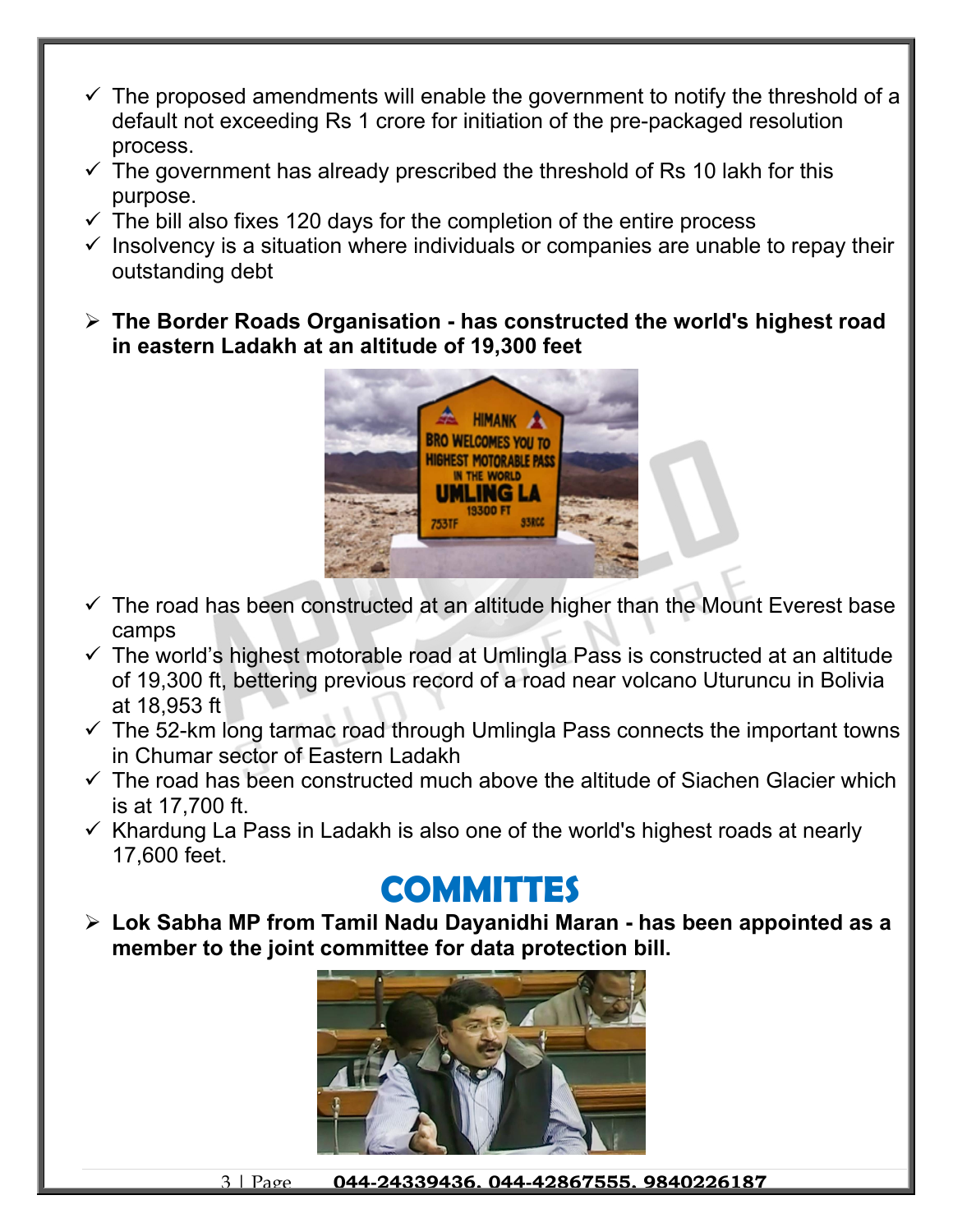- $\checkmark$  The proposed amendments will enable the government to notify the threshold of a default not exceeding Rs 1 crore for initiation of the pre-packaged resolution process.
- $\checkmark$  The government has already prescribed the threshold of Rs 10 lakh for this purpose.
- $\checkmark$  The bill also fixes 120 days for the completion of the entire process
- $\checkmark$  Insolvency is a situation where individuals or companies are unable to repay their outstanding debt
- **The Border Roads Organisation has constructed the world's highest road in eastern Ladakh at an altitude of 19,300 feet**



- $\checkmark$  The road has been constructed at an altitude higher than the Mount Everest base camps
- $\checkmark$  The world's highest motorable road at Umlingla Pass is constructed at an altitude of 19,300 ft, bettering previous record of a road near volcano Uturuncu in Bolivia at 18,953 ft
- $\checkmark$  The 52-km long tarmac road through Umlingla Pass connects the important towns in Chumar sector of Eastern Ladakh
- $\checkmark$  The road has been constructed much above the altitude of Siachen Glacier which is at 17,700 ft.
- $\checkmark$  Khardung La Pass in Ladakh is also one of the world's highest roads at nearly 17,600 feet.

## **COMMITTES**

 **Lok Sabha MP from Tamil Nadu Dayanidhi Maran - has been appointed as a member to the joint committee for data protection bill.**



3 | Page **044-24339436, 044-42867555, 9840226187**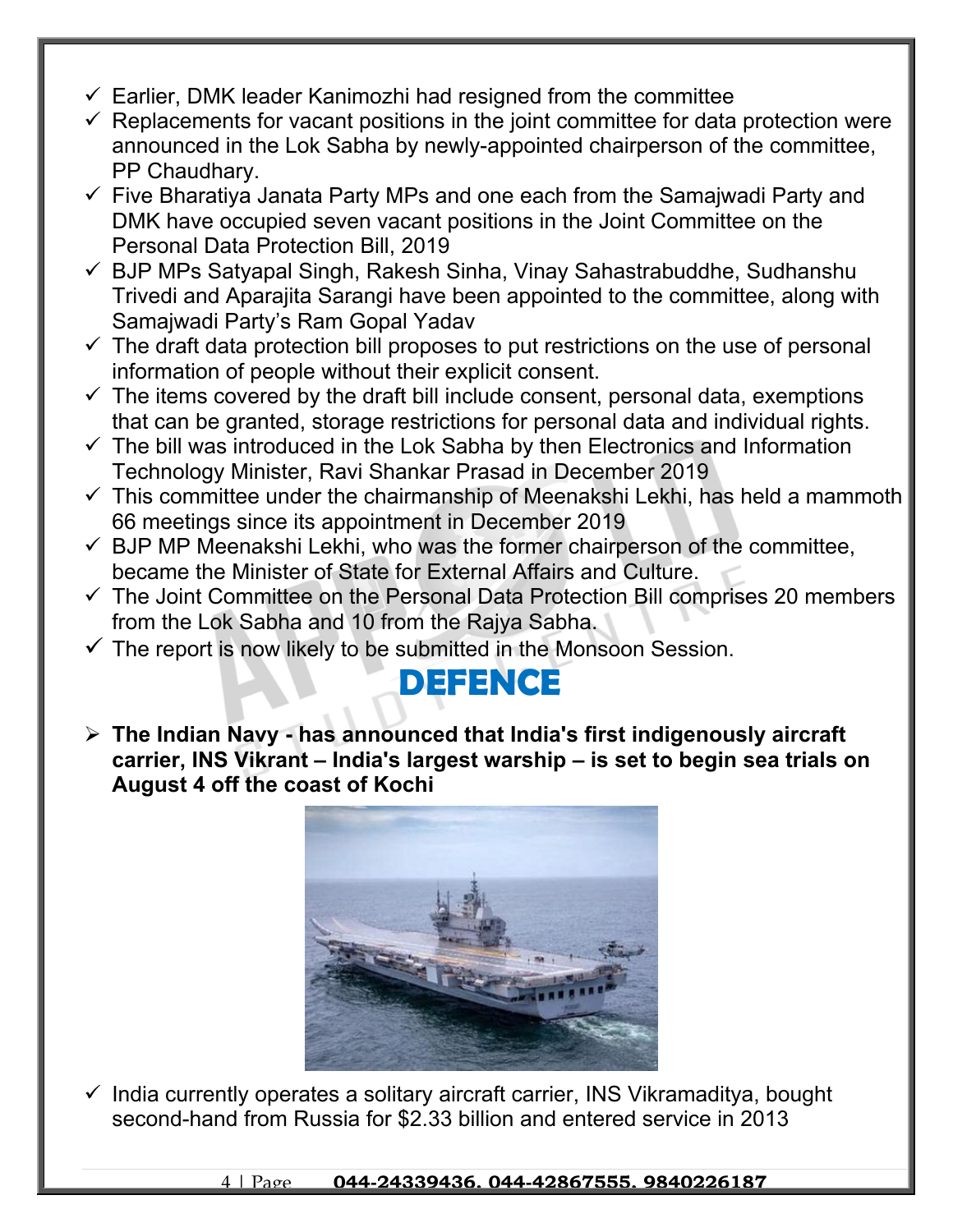- $\checkmark$  Earlier, DMK leader Kanimozhi had resigned from the committee
- $\checkmark$  Replacements for vacant positions in the joint committee for data protection were announced in the Lok Sabha by newly-appointed chairperson of the committee, PP Chaudhary.
- $\checkmark$  Five Bharatiya Janata Party MPs and one each from the Samajwadi Party and DMK have occupied seven vacant positions in the Joint Committee on the Personal Data Protection Bill, 2019
- $\checkmark$  BJP MPs Satyapal Singh, Rakesh Sinha, Vinay Sahastrabuddhe, Sudhanshu Trivedi and Aparajita Sarangi have been appointed to the committee, along with Samajwadi Party's Ram Gopal Yadav
- $\checkmark$  The draft data protection bill proposes to put restrictions on the use of personal information of people without their explicit consent.
- $\checkmark$  The items covered by the draft bill include consent, personal data, exemptions that can be granted, storage restrictions for personal data and individual rights.
- $\checkmark$  The bill was introduced in the Lok Sabha by then Electronics and Information Technology Minister, Ravi Shankar Prasad in December 2019
- $\checkmark$  This committee under the chairmanship of Meenakshi Lekhi, has held a mammoth 66 meetings since its appointment in December 2019
- $\checkmark$  BJP MP Meenakshi Lekhi, who was the former chairperson of the committee, became the Minister of State for External Affairs and Culture.
- $\checkmark$  The Joint Committee on the Personal Data Protection Bill comprises 20 members from the Lok Sabha and 10 from the Rajya Sabha.
- $\checkmark$  The report is now likely to be submitted in the Monsoon Session.

## **DEFENCE**

 **The Indian Navy - has announced that India's first indigenously aircraft carrier, INS Vikrant – India's largest warship – is set to begin sea trials on August 4 off the coast of Kochi**



 $\checkmark$  India currently operates a solitary aircraft carrier, INS Vikramaditya, bought second-hand from Russia for \$2.33 billion and entered service in 2013

4 | Page **044-24339436, 044-42867555, 9840226187**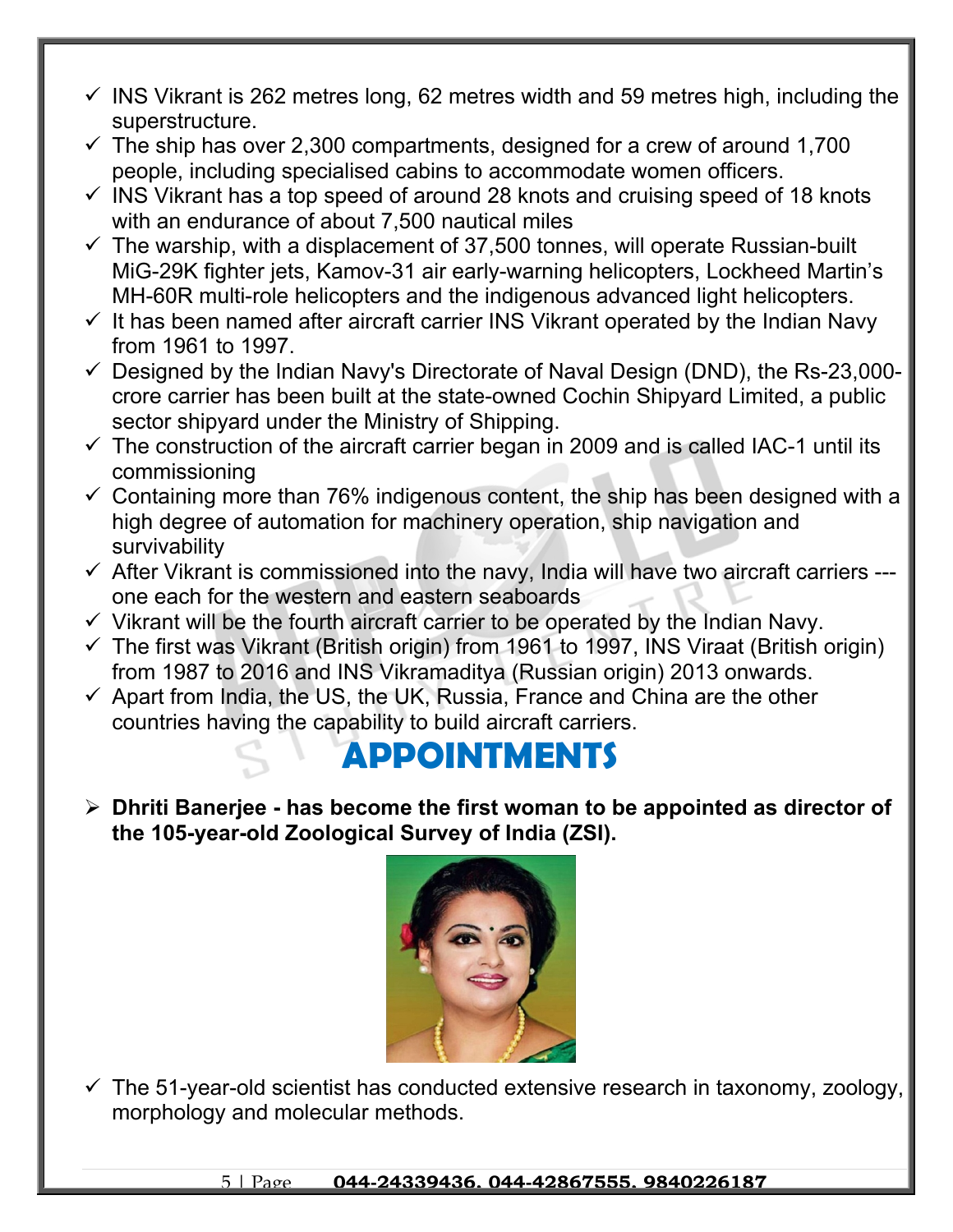- $\checkmark$  INS Vikrant is 262 metres long, 62 metres width and 59 metres high, including the superstructure.
- $\checkmark$  The ship has over 2,300 compartments, designed for a crew of around 1,700 people, including specialised cabins to accommodate women officers.
- $\checkmark$  INS Vikrant has a top speed of around 28 knots and cruising speed of 18 knots with an endurance of about 7,500 nautical miles
- $\checkmark$  The warship, with a displacement of 37,500 tonnes, will operate Russian-built MiG-29K fighter jets, Kamov-31 air early-warning helicopters, Lockheed Martin's MH-60R multi-role helicopters and the indigenous advanced light helicopters.
- $\checkmark$  It has been named after aircraft carrier INS Vikrant operated by the Indian Navy from 1961 to 1997.
- $\checkmark$  Designed by the Indian Navy's Directorate of Naval Design (DND), the Rs-23,000crore carrier has been built at the state-owned Cochin Shipyard Limited, a public sector shipyard under the Ministry of Shipping.
- $\checkmark$  The construction of the aircraft carrier began in 2009 and is called IAC-1 until its commissioning
- $\checkmark$  Containing more than 76% indigenous content, the ship has been designed with a high degree of automation for machinery operation, ship navigation and survivability
- $\checkmark$  After Vikrant is commissioned into the navy, India will have two aircraft carriers --one each for the western and eastern seaboards
- $\checkmark$  Vikrant will be the fourth aircraft carrier to be operated by the Indian Navy.
- $\checkmark$  The first was Vikrant (British origin) from 1961 to 1997, INS Viraat (British origin) from 1987 to 2016 and INS Vikramaditya (Russian origin) 2013 onwards.
- $\checkmark$  Apart from India, the US, the UK, Russia, France and China are the other countries having the capability to build aircraft carriers.

### **APPOINTMENTS**

 **Dhriti Banerjee - has become the first woman to be appointed as director of the 105-year-old Zoological Survey of India (ZSI).**



 $\checkmark$  The 51-year-old scientist has conducted extensive research in taxonomy, zoology, morphology and molecular methods.

5 | Page **044-24339436, 044-42867555, 9840226187**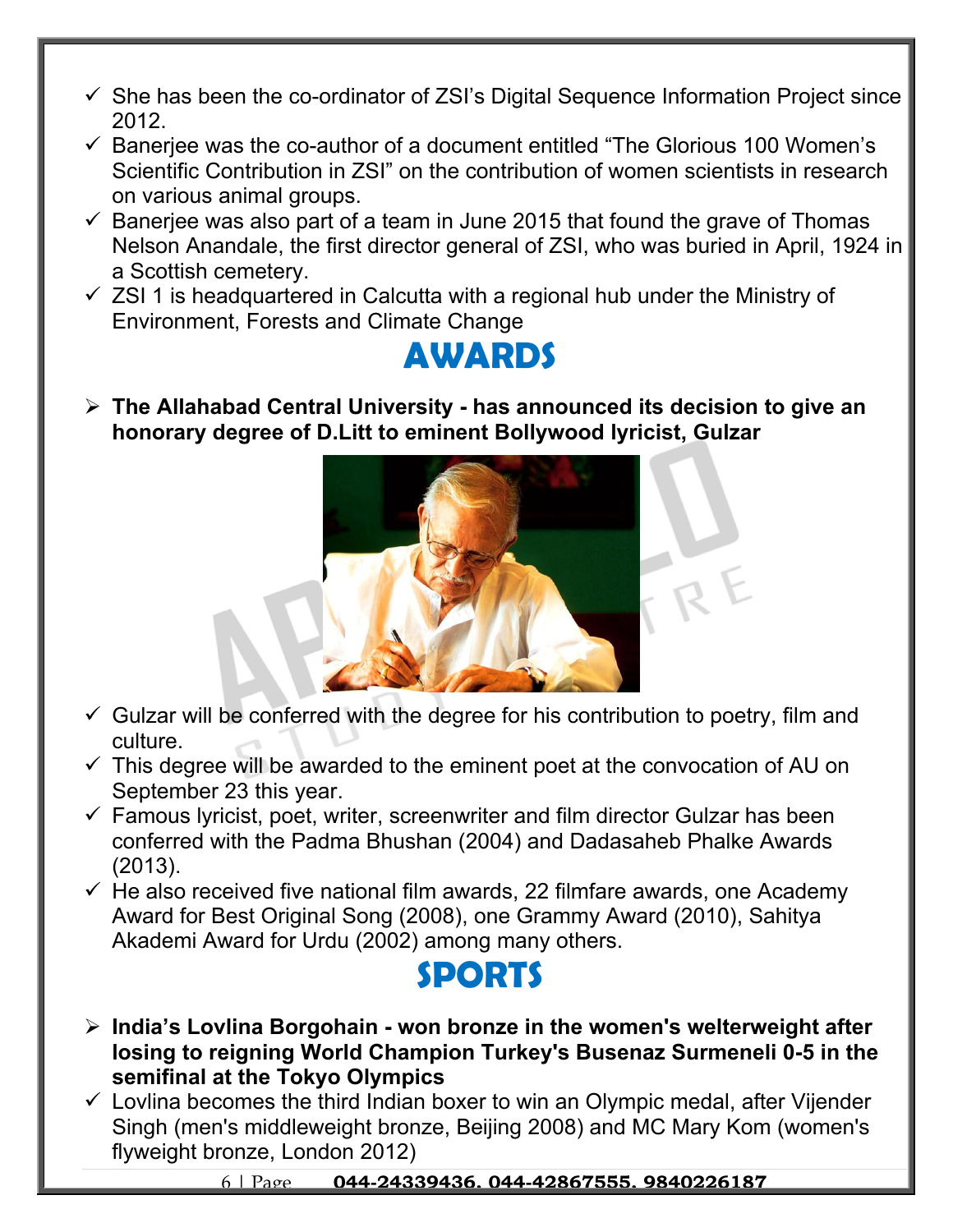- $\checkmark$  She has been the co-ordinator of ZSI's Digital Sequence Information Project since 2012.
- $\checkmark$  Banerjee was the co-author of a document entitled "The Glorious 100 Women's Scientific Contribution in ZSI" on the contribution of women scientists in research on various animal groups.
- $\checkmark$  Banerjee was also part of a team in June 2015 that found the grave of Thomas Nelson Anandale, the first director general of ZSI, who was buried in April, 1924 in a Scottish cemetery.
- $\checkmark$  ZSI 1 is headquartered in Calcutta with a regional hub under the Ministry of Environment, Forests and Climate Change

### **AWARDS**

 **The Allahabad Central University - has announced its decision to give an honorary degree of D.Litt to eminent Bollywood lyricist, Gulzar** 



- $\checkmark$  Gulzar will be conferred with the degree for his contribution to poetry, film and culture.
- $\checkmark$  This degree will be awarded to the eminent poet at the convocation of AU on September 23 this year.
- $\checkmark$  Famous lyricist, poet, writer, screenwriter and film director Gulzar has been conferred with the Padma Bhushan (2004) and Dadasaheb Phalke Awards (2013).
- $\checkmark$  He also received five national film awards, 22 filmfare awards, one Academy Award for Best Original Song (2008), one Grammy Award (2010), Sahitya Akademi Award for Urdu (2002) among many others.

### **SPORTS**

- **India's Lovlina Borgohain won bronze in the women's welterweight after losing to reigning World Champion Turkey's Busenaz Surmeneli 0-5 in the semifinal at the Tokyo Olympics**
- $\checkmark$  Lovlina becomes the third Indian boxer to win an Olympic medal, after Vijender Singh (men's middleweight bronze, Beijing 2008) and MC Mary Kom (women's flyweight bronze, London 2012)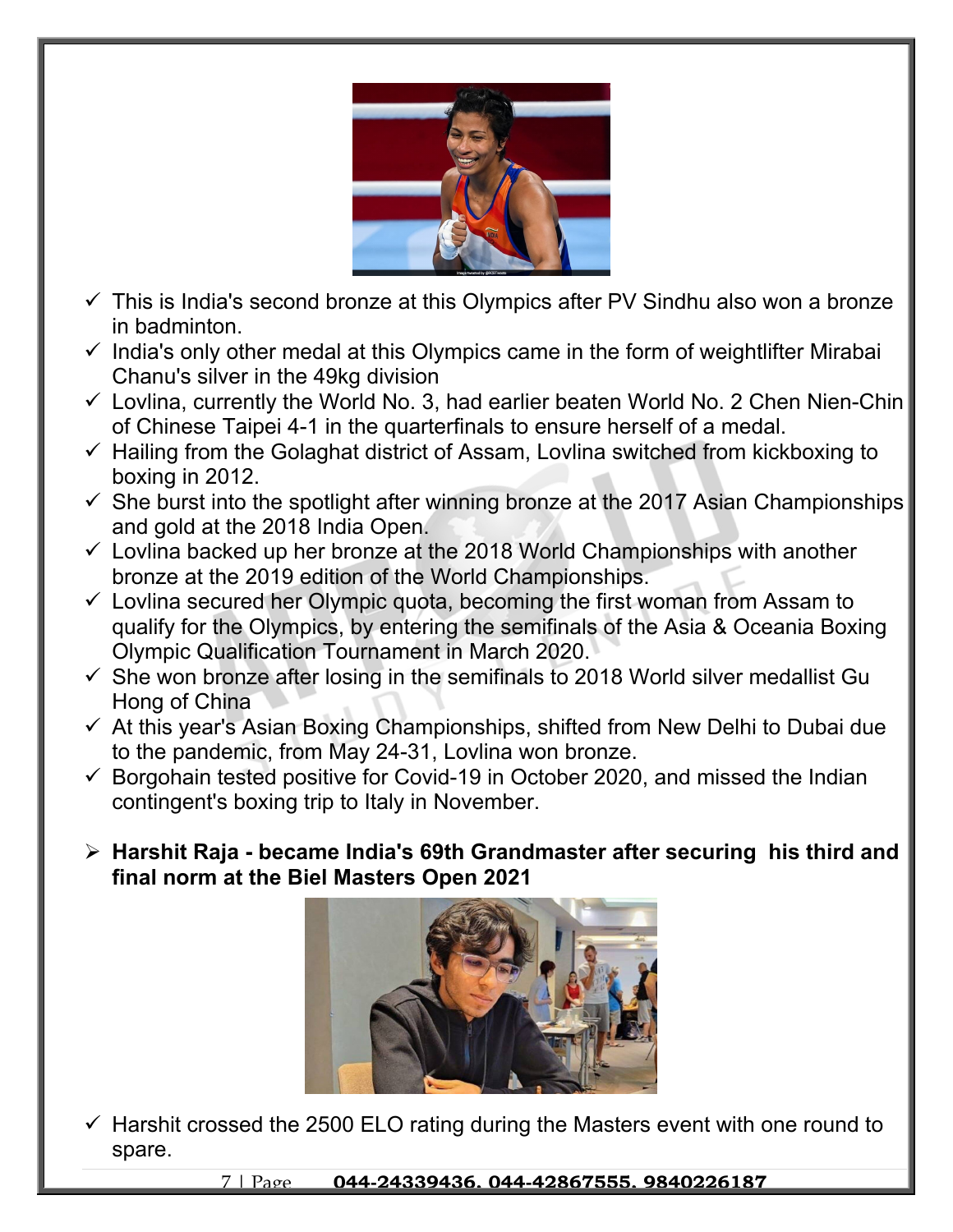

- $\checkmark$  This is India's second bronze at this Olympics after PV Sindhu also won a bronze in badminton.
- $\checkmark$  India's only other medal at this Olympics came in the form of weightlifter Mirabai Chanu's silver in the 49kg division
- $\checkmark$  Lovlina, currently the World No. 3, had earlier beaten World No. 2 Chen Nien-Chin of Chinese Taipei 4-1 in the quarterfinals to ensure herself of a medal.
- $\checkmark$  Hailing from the Golaghat district of Assam, Lovlina switched from kickboxing to boxing in 2012.
- $\checkmark$  She burst into the spotlight after winning bronze at the 2017 Asian Championships and gold at the 2018 India Open.
- $\checkmark$  Lovlina backed up her bronze at the 2018 World Championships with another bronze at the 2019 edition of the World Championships.
- $\checkmark$  Lovlina secured her Olympic quota, becoming the first woman from Assam to qualify for the Olympics, by entering the semifinals of the Asia & Oceania Boxing Olympic Qualification Tournament in March 2020.
- $\checkmark$  She won bronze after losing in the semifinals to 2018 World silver medallist Gu Hong of China
- $\checkmark$  At this year's Asian Boxing Championships, shifted from New Delhi to Dubai due to the pandemic, from May 24-31, Lovlina won bronze.
- $\checkmark$  Borgohain tested positive for Covid-19 in October 2020, and missed the Indian contingent's boxing trip to Italy in November.
- **Harshit Raja became India's 69th Grandmaster after securing his third and final norm at the Biel Masters Open 2021**



 $\checkmark$  Harshit crossed the 2500 ELO rating during the Masters event with one round to spare.